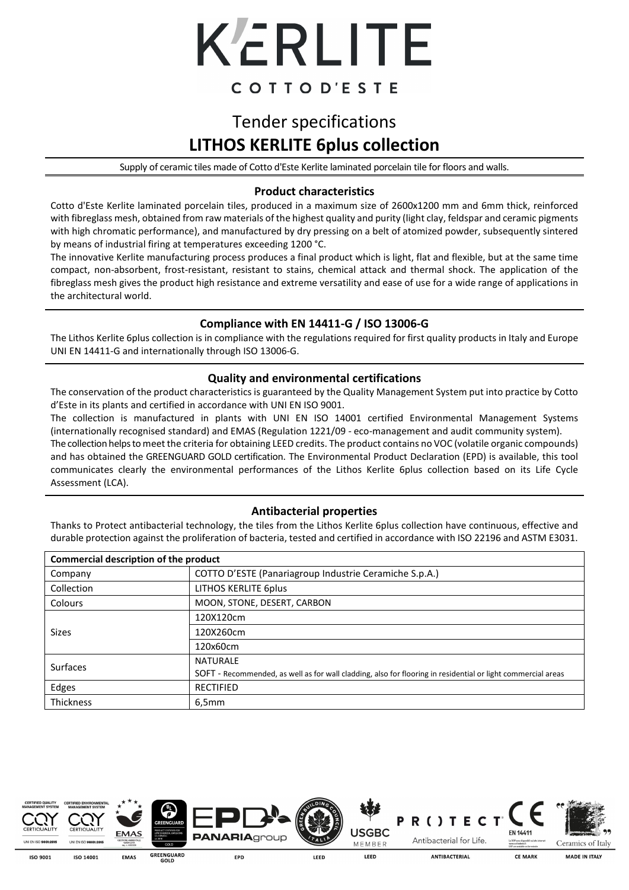

## Tender specifications **LITHOS KERLITE 6plus collection**

Supply of ceramic tiles made of Cotto d'Este Kerlite laminated porcelain tile for floors and walls.

### **Product characteristics**

Cotto d'Este Kerlite laminated porcelain tiles, produced in a maximum size of 2600x1200 mm and 6mm thick, reinforced with fibreglass mesh, obtained from raw materials of the highest quality and purity (light clay, feldspar and ceramic pigments with high chromatic performance), and manufactured by dry pressing on a belt of atomized powder, subsequently sintered by means of industrial firing at temperatures exceeding 1200 °C.

The innovative Kerlite manufacturing process produces a final product which is light, flat and flexible, but at the same time compact, non-absorbent, frost-resistant, resistant to stains, chemical attack and thermal shock. The application of the fibreglass mesh gives the product high resistance and extreme versatility and ease of use for a wide range of applications in the architectural world.

### **Compliance with EN 14411-G / ISO 13006-G**

The Lithos Kerlite 6plus collection is in compliance with the regulations required for first quality products in Italy and Europe UNI EN 14411-G and internationally through ISO 13006-G.

### **Quality and environmental certifications**

The conservation of the product characteristics is guaranteed by the Quality Management System put into practice by Cotto d'Este in its plants and certified in accordance with UNI EN ISO 9001.

The collection is manufactured in plants with UNI EN ISO 14001 certified Environmental Management Systems (internationally recognised standard) and EMAS (Regulation 1221/09 - eco-management and audit community system).

The collection helps to meet the criteria for obtaining LEED credits. The product contains no VOC (volatile organic compounds) and has obtained the GREENGUARD GOLD certification. The Environmental Product Declaration (EPD) is available, this tool communicates clearly the environmental performances of the Lithos Kerlite 6plus collection based on its Life Cycle Assessment (LCA).

### **Antibacterial properties**

Thanks to Protect antibacterial technology, the tiles from the Lithos Kerlite 6plus collection have continuous, effective and durable protection against the proliferation of bacteria, tested and certified in accordance with ISO 22196 and ASTM E3031. j

| Commercial description of the product |                                                                                                              |  |  |  |
|---------------------------------------|--------------------------------------------------------------------------------------------------------------|--|--|--|
| Company                               | COTTO D'ESTE (Panariagroup Industrie Ceramiche S.p.A.)                                                       |  |  |  |
| Collection                            | LITHOS KERLITE 6plus                                                                                         |  |  |  |
| Colours                               | MOON, STONE, DESERT, CARBON                                                                                  |  |  |  |
| Sizes                                 | 120X120cm                                                                                                    |  |  |  |
|                                       | 120X260cm                                                                                                    |  |  |  |
|                                       | 120x60cm                                                                                                     |  |  |  |
| Surfaces                              | <b>NATURALE</b>                                                                                              |  |  |  |
|                                       | SOFT - Recommended, as well as for wall cladding, also for flooring in residential or light commercial areas |  |  |  |
| Edges                                 | <b>RECTIFIED</b>                                                                                             |  |  |  |
| <b>Thickness</b>                      | 6,5mm                                                                                                        |  |  |  |